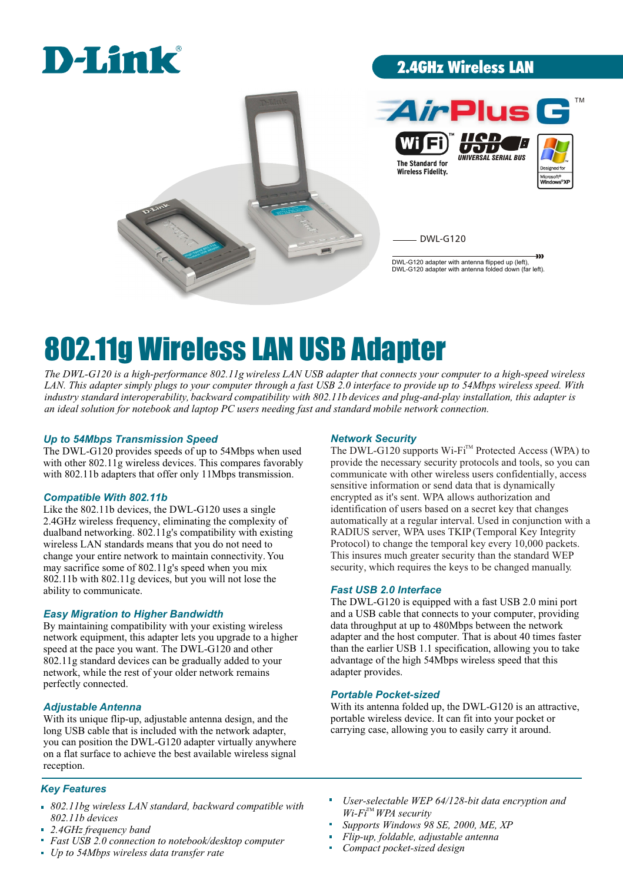# D-Link

## 2.4GHz Wireless LAN



# 802.11g Wireless LAN USB Adapter

The DWL-G120 is a high-performance 802.11g wireless LAN USB adapter that connects your computer to a high-speed wireless LAN. This adapter simply plugs to your computer through a fast USB 2.0 interface to provide up to 54Mbps wireless speed. With industry standard interoperability, backward compatibility with 802.11b devices and plug-and-play installation, this adapter is *an ideal solution for notebook and laptop PC users needing fast and standard mobile network connection.*

#### *Up to 54Mbps Transmission Speed*

The DWL-G120 provides speeds of up to 54Mbps when used with other 802.11g wireless devices. This compares favorably with 802.11b adapters that offer only 11Mbps transmission.

#### *Compatible With 802.11b*

Like the 802.11b devices, the DWL-G120 uses a single 2.4GHz wireless frequency, eliminating the complexity of dualband networking. 802.11g's compatibility with existing wireless LAN standards means that you do not need to change your entire network to maintain connectivity. You may sacrifice some of 802.11g's speed when you mix 802.11b with 802.11g devices, but you will not lose the ability to communicate.

#### *Easy Migration to Higher Bandwidth*

By maintaining compatibility with your existing wireless network equipment, this adapter lets you upgrade to a higher speed at the pace you want. The DWL-G120 and other 802.11g standard devices can be gradually added to your network, while the rest of your older network remains perfectly connected.

#### *Adjustable Antenna*

With its unique flip-up, adjustable antenna design, and the long USB cable that is included with the network adapter, you can position the DWL-G120 adapter virtually anywhere on a flat surface to achieve the best available wireless signal reception.

#### *Key Features*

- *802.11bg wireless LAN standard, backward compatible with 802.11b devices*
- *2.4GHz frequency band*
- *Fast USB 2.0 connection to notebook/desktop computer*
- *Up to 54Mbps wireless data transfer rate*

#### *Network Security*

The DWL-G120 supports Wi-Fi™ Protected Access (WPA) to provide the necessary security protocols and tools, so you can communicate with other wireless users confidentially, access sensitive information or send data that is dynamically encrypted as it's sent. WPA allows authorization and identification of users based on a secret key that changes automatically at a regular interval. Used in conjunction with a RADIUS server, WPA uses TKIP (Temporal Key Integrity Protocol) to change the temporal key every 10,000 packets. This insures much greater security than the standard WEP security, which requires the keys to be changed manually.

#### *Fast USB 2.0 Interface*

The DWL-G120 is equipped with a fast USB 2.0 mini port and a USB cable that connects to your computer, providing data throughput at up to 480Mbps between the network adapter and the host computer. That is about 40 times faster than the earlier USB 1.1 specification, allowing you to take advantage of the high 54Mbps wireless speed that this adapter provides.

#### *Portable Pocket-sized*

With its antenna folded up, the DWL-G120 is an attractive, portable wireless device. It can fit into your pocket or carrying case, allowing you to easily carry it around.

- *User-selectable WEP 64/128-bit data encryption and Wi-Fi*<sup>™</sup> *WPA* security
- *Supports Windows 98 SE, 2000, ME, XP*
- *Flip-up, foldable, adjustable antenna*   $\mathbf{r}$
- *Compact pocket-sized design*